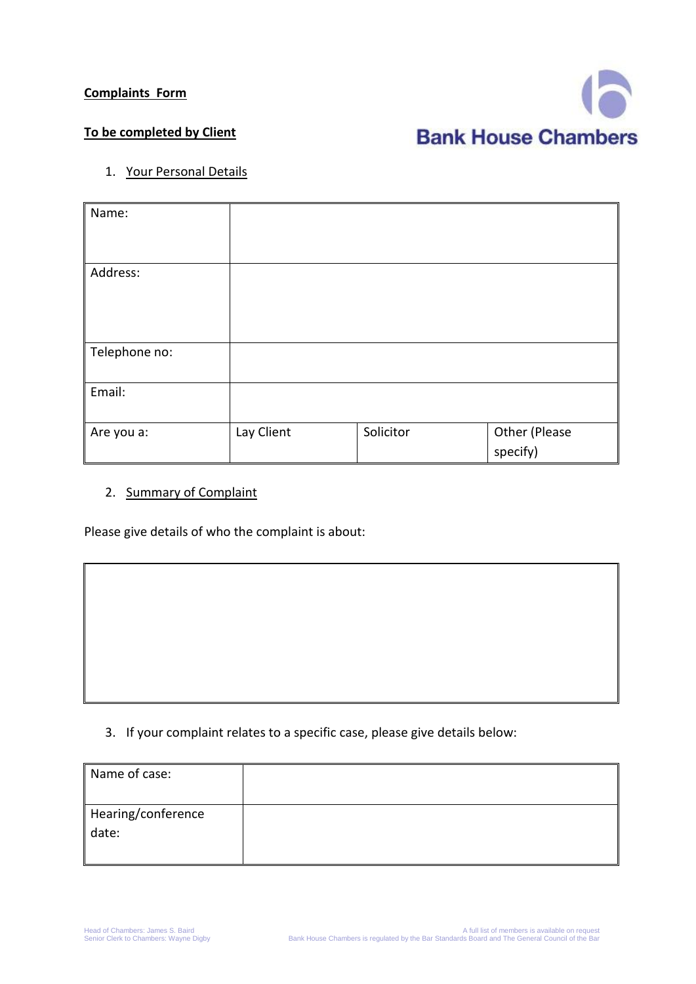## **Complaints Form**



## **To be completed by Client**

1. Your Personal Details

| Name:         |            |           |                           |
|---------------|------------|-----------|---------------------------|
| Address:      |            |           |                           |
|               |            |           |                           |
| Telephone no: |            |           |                           |
| Email:        |            |           |                           |
| Are you a:    | Lay Client | Solicitor | Other (Please<br>specify) |

## 2. Summary of Complaint

Please give details of who the complaint is about:

## 3. If your complaint relates to a specific case, please give details below:

| Name of case:      |  |
|--------------------|--|
|                    |  |
| Hearing/conference |  |
| date:              |  |
|                    |  |
|                    |  |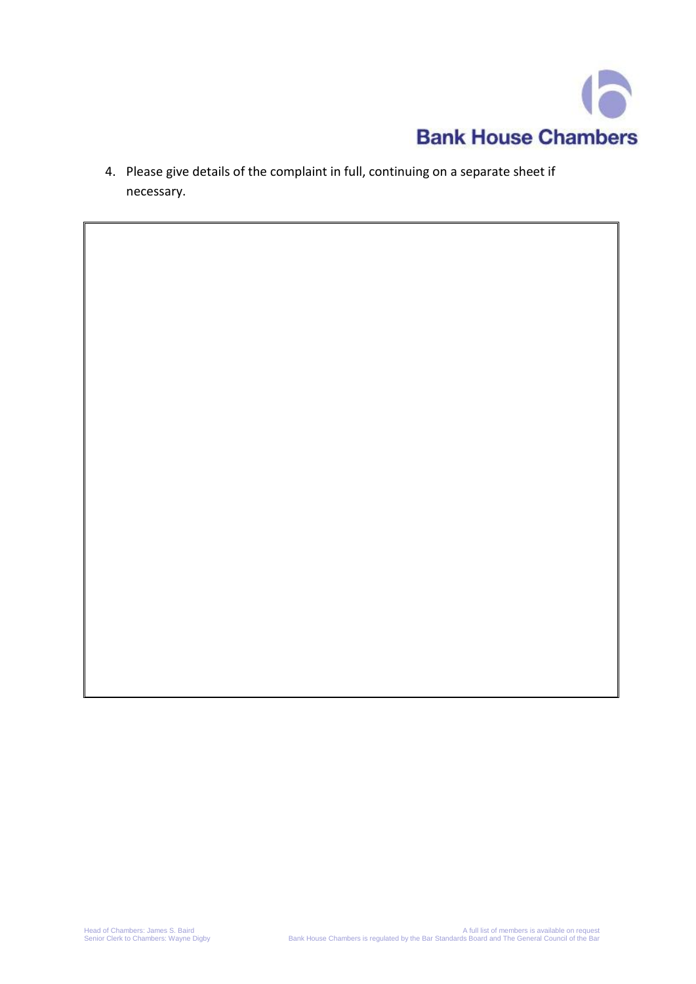

4. Please give details of the complaint in full, continuing on a separate sheet if necessary.